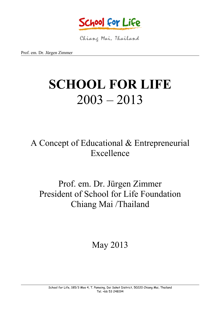

Chiang Mai, Thailand

Prof. em. Dr. Jürgen Zimmer

# **SCHOOL FOR LIFE**  $2003 - 2013$

A Concept of Educational & Entrepreneurial Excellence

## Prof. em. Dr. Jürgen Zimmer President of School for Life Foundation Chiang Mai /Thailand

May 2013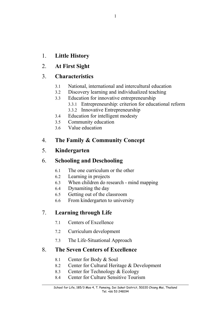- 1. **Little History**
- 2. **At First Sight**

## 3. **Characteristics**

- 3.1 National, international and intercultural education
- 3.2 Discovery learning and individualized teaching
- 3.3 Education for innovative entrepreneurship
	- 3.3.1 Entrepreneurship: criterion for educational reform
	- 3.3.2 Innovative Entrepreneurship
- 3.4 Education for intelligent modesty
- 3.5 Community education
- 3.6 Value education

## 4. **The Family & Community Concept**

## 5. **Kindergarten**

## 6. **Schooling and Deschooling**

- 6.1 The one curriculum or the other
- 6.2 Learning in projects
- 6.3 When children do research mind mapping
- 6.4 Dynamiting the day
- 6.5 Getting out of the classroom
- 6.6 From kindergarten to university

## 7. **Learning through Life**

- 7.1 Centers of Excellence
- 7.2 Curriculum development
- 7.3 The Life-Situational Approach

## 8. **The Seven Centers of Excellence**

- 8.1 Center for Body & Soul
- 8.2 Center for Cultural Heritage & Development
- 8.3 Center for Technology & Ecology
- 8.4 Center for Culture Sensitive Tourism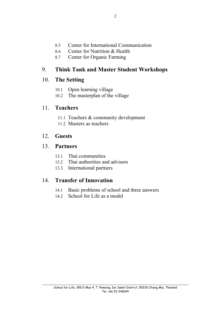- 8.5 Center for International Communication
- 8.6 Center for Nutrition & Health
- 8.7 Center for Organic Farming

## 9. **Think Tank and Master Student Workshops**

## 10. **The Setting**

- 10.1 Open learning village
- 10.2 The masterplan of the village

## 11. **Teachers**

- 11.1 Teachers & community development
- 11.2 Masters as teachers

## 12. **Guests**

## 13. **Partners**

- 13.1 Thai communities
- 13.2 Thai authorities and advisors
- 13.3 International partners

## 14. **Transfer of Innovation**

- 14.1 Basic problems of school and three answers
- 14.2 School for Life as a model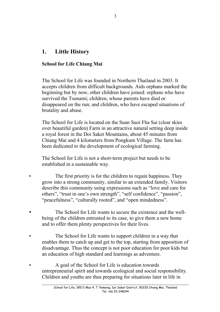## **1. Little History**

## **School for Life Chiang Mai**

The School for Life was founded in Northern Thailand in 2003. It accepts children from difficult backgrounds. Aids orphans marked the beginning but by now, other children have joined: orphans who have survived the Tsunami; children, whose parents have died or disappeared on the run; and children, who have escaped situations of brutality and abuse.

The School for Life is located on the Suan Suoi Fha Sai (clear skies over beautiful garden) Farm in an attractive natural setting deep inside a royal forest in the Doi Saket Mountains, about 45 minutes from Chiang Mai und 4 kilometers from Pongkum Village. The farm has been dedicated to the development of ecological farming.

The School for Life is not a short-term project but needs to be established in a sustainable way.

- The first priority is for the children to regain happiness. They grow into a strong community, similar to an extended family. Visitors describe this community using expressions such as "love and care for others", "trust in one's own strength", "self confidence", "passion", "peacefulness", "culturally rooted", and "open mindedness".
- The School for Life wants to secure the existence and the wellbeing of the children entrusted to its case, to give them a new home and to offer them plenty perspectives for their lives.
- The School for Life wants to support children in a way that enables them to catch up and get to the top, starting from apposition of disadvantage. Thus the concept is not poor education for poor kids but an education of high standard and learnings as adventure.
- A goal of the School for Life is education towards entrepreneurial spirit and towards ecological and social responsibility. Children and youths are thus preparing for situations later in life in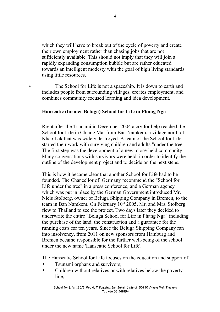which they will have to break out of the cycle of poverty and create their own employment rather than chasing jobs that are not sufficiently available. This should not imply that they will join a rapidly expanding consumption bubble but are rather educated towards an intelligent modesty with the goal of high living standards using little resources.

The School for Life is not a spaceship. It is down to earth and includes people from surrounding villages, creates employment, and combines community focused learning and idea development.

#### **Hanseatic (former Beluga) School for Life in Phang Nga**

Right after the Tsunami in December 2004 a cry for help reached the School for Life in Chiang Mai from Ban Namkem, a village north of Khao Lak that was widely destroyed. A team of the School for Life started their work with surviving children and adults "under the tree". The first step was the development of a new, close-held community. Many conversations with survivors were held, in order to identify the outline of the development project and to decide on the next steps.

This is how it became clear that another School for Life had to be founded. The Chancellor of Germany recommend the "School for Life under the tree" in a press conference, and a German agency which was put in place by the German Government introduced Mr. Niels Stolberg, owner of Beluga Shipping Company in Bremen, to the team in Ban Namkem. On February 10<sup>th</sup> 2005, Mr. and Mrs. Stolberg flew to Thailand to see the project. Two days later they decided to underwrite the entire "Beluga School for Life in Phang Nga" including the purchase of the land, the construction and a guarantee for the running costs for ten years. Since the Beluga Shipping Company ran into insolvency, from 2011 on new sponsors from Hamburg and Bremen became responsible for the further well-being of the school under the new name 'Hanseatic School for Life'.

The Hanseatic School for Life focuses on the education and support of

- Tsunami orphans and survivors;
- Children without relatives or with relatives below the poverty line;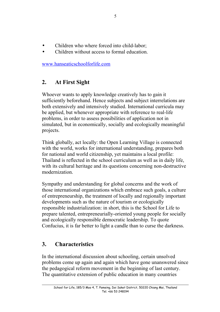- Children who where forced into child-labor;
- Children without access to formal education.

[www.hanseaticschoolforlife.com](http://www.hanseaticschoolforlife.com/)

## **2. At First Sight**

Whoever wants to apply knowledge creatively has to gain it sufficiently beforehand. Hence subjects and subject interrelations are both extensively and intensively studied. International curricula may be applied, but whenever appropriate with reference to real-life problems, in order to assess possibilities of application not in simulated, but in economically, socially and ecologically meaningful projects.

Think globally, act locally: the Open Learning Village is connected with the world, works for international understanding, prepares both for national and world citizenship, yet maintains a local profile: Thailand is reflected in the school curriculum as well as in daily life, with its cultural heritage and its questions concerning non-destructive modernization.

Sympathy and understanding for global concerns and the work of those international organizations which embrace such goals, a culture of entrepreneurship, the treatment of locally and regionally important developments such as the nature of tourism or ecologically responsible industrialization: in short, this is the School for Life to prepare talented, entrepreneurially-oriented young people for socially and ecologically responsible democratic leadership. To quote Confucius, it is far better to light a candle than to curse the darkness.

## **3. Characteristics**

In the international discussion about schooling, certain unsolved problems come up again and again which have gone unanswered since the pedagogical reform movement in the beginning of last century. The quantitative extension of public education in many countries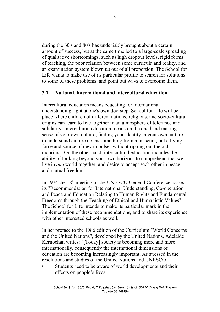during the 60's and 80's has undeniably brought about a certain amount of success, but at the same time led to a large-scale spreading of qualitative shortcomings, such as high dropout levels, rigid forms of teaching, the poor relation between some curricula and reality, and an examination system blown up out of all proportion. The School for Life wants to make use of its particular profile to search for solutions to some of these problems, and point out ways to overcome them.

## **3.1 National, international and intercultural education**

Intercultural education means educating for international understanding right at one's own doorstep. School for Life will be a place where children of different nations, religions, and socio-cultural origins can learn to live together in an atmosphere of tolerance and solidarity. Intercultural education means on the one hand making sense of your own culture, finding your identity in your own culture to understand culture not as something from a museum, but a living force and source of new impulses without ripping out the old moorings. On the other hand, intercultural education includes the ability of looking beyond your own horizons to comprehend that we live in *one* world together, and desire to accept each other in peace and mutual freedom.

In 1974 the 18<sup>th</sup> meeting of the UNESCO General Conference passed its "Recommendation for International Understanding, Co-operation and Peace and Education Relating to Human Rights and Fundamental Freedoms through the Teaching of Ethical and Humanistic Values". The School for Life intends to make its particular mark in the implementation of these recommendations, and to share its experience with other interested schools as well.

In her preface to the 1986 edition of the Curriculum "World Concerns and the United Nations", developed by the United Nations, Adelaide Kernochan writes: "[Today] society is becoming more and more internationally, consequently the international dimensions of education are becoming increasingly important. As stressed in the resolutions and studies of the United Nations and UNESCO

Students need to be aware of world developments and their effects on people's lives;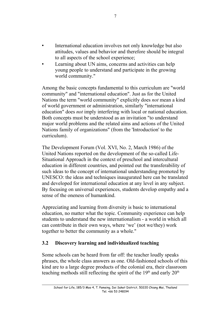- International education involves not only knowledge but also attitudes, values and behavior and therefore should be integral to all aspects of the school experience;
- Learning about UN aims, concerns and activities can help young people to understand and participate in the growing world community."

Among the basic concepts fundamental to this curriculum are "world community" and "international education". Just as for the United Nations the term "world community" explicitly does *not* mean a kind of world government or administration, similarly "international education" does *not* imply interfering with local or national education. Both concepts must be understood as an invitation "to understand major world problems and the related aims and actions of the United Nations family of organizations" (from the 'Introduction' to the curriculum).

The Development Forum (Vol. XVI, No. 2, March 1986) of the United Nations reported on the development of the so-called Life-Situational Approach in the context of preschool and intercultural education in different countries, and pointed out the transferability of such ideas to the concept of international understanding promoted by UNESCO: the ideas and techniques inaugurated here can be translated and developed for international education at any level in any subject. By focusing on universal experiences, students develop empathy and a sense of the oneness of humankind.

Appreciating and learning from diversity is basic to international education, no matter what the topic. Community experience can help students to understand the new internationalism - a world in which all can contribute in their own ways, where 'we' (not we/they) work together to better the community as a whole."

## **3.2 Discovery learning and individualized teaching**

Some schools can be heard from far off: the teacher loudly speaks phrases, the whole class answers as one. Old-fashioned schools of this kind are to a large degree products of the colonial era, their classroom teaching methods still reflecting the spirit of the  $19<sup>th</sup>$  and early  $20<sup>th</sup>$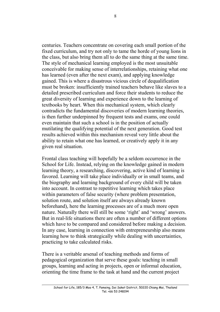centuries. Teachers concentrate on covering each small portion of the fixed curriculum, and try not only to tame the horde of young lions in the class, but also bring them all to do the same thing at the same time. The style of mechanical learning employed is the most unsuitable conceivable for making sense of interrelationships, retaining what one has learned (even after the next exam), and applying knowledge gained. This is where a disastrous vicious circle of dequalification must be broken: insufficiently trained teachers behave like slaves to a detailed prescribed curriculum and force their students to reduce the great diversity of learning and experience down to the learning of textbooks by heart. When this mechanical system, which clearly contradicts the fundamental discoveries of modern learning theories, is then further underpinned by frequent tests and exams, one could even maintain that such a school is in the position of actually mutilating the qualifying potential of the next generation. Good test results achieved within this mechanism reveal very little about the ability to retain what one has learned, or creatively apply it in any given real situation.

Frontal class teaching will hopefully be a seldom occurrence in the School for Life. Instead, relying on the knowledge gained in modern learning theory, a researching, discovering, active kind of learning is favored. Learning will take place individually or in small teams, and the biography and learning background of every child will be taken into account. In contrast to repetitive learning which takes place within parameters of false security (where problem presentation, solution route, and solution itself are always already known beforehand), here the learning processes are of a much more open nature. Naturally there will still be some 'right' and 'wrong' answers. But in real-life situations there are often a number of different options which have to be compared and considered before making a decision. In any case, learning in connection with entrepreneurship also means learning how to think strategically while dealing with uncertainties, practicing to take calculated risks.

There is a veritable arsenal of teaching methods and forms of pedagogical organization that serve these goals: teaching in small groups, learning and acting in projects, open or informal education, orienting the time frame to the task at hand and the current project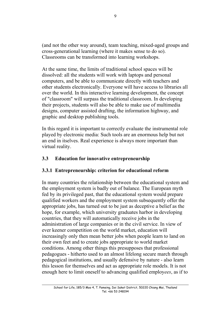(and not the other way around), team teaching, mixed-aged groups and cross-generational learning (where it makes sense to do so). Classrooms can be transformed into learning workshops.

At the same time, the limits of traditional school spaces will be dissolved: all the students will work with laptops and personal computers, and be able to communicate directly with teachers and other students electronically. Everyone will have access to libraries all over the world. In this interactive learning development, the concept of "classroom" will surpass the traditional classroom. In developing their projects, students will also be able to make use of multimedia designs, computer assisted drafting, the information highway, and graphic and desktop publishing tools.

In this regard it is important to correctly evaluate the instrumental role played by electronic media: Such tools are an enormous help but not an end in itselves. Real experience is always more important than virtual reality.

## **3.3 Education for innovative entrepreneurship**

## **3.3.1 Entrepreneurship: criterion for educational reform**

In many countries the relationship between the educational system and the employment system is badly out of balance. The European myth fed by its privileged past, that the educational system would prepare qualified workers and the employment system subsequently offer the appropriate jobs, has turned out to be just as deceptive a belief as the hope, for example, which university graduates harbor in developing countries, that they will automatically receive jobs in the administration of large companies or in the civil service. In view of ever keener competition on the world market, education will increasingly only then mean better jobs when people learn to land on their own feet and to create jobs appropriate to world market conditions. Among other things this presupposes that professional pedagogues - hitherto used to an almost lifelong secure march through pedagogical institutions, and usually defensive by nature - also learn this lesson for themselves and act as appropriate role models. It is not enough here to limit oneself to advancing qualified employ*ees*, as if to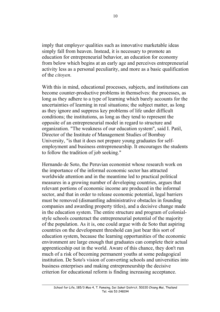imply that employ*er* qualities such as innovative marketable ideas simply fall from heaven. Instead, it is necessary to promote an education for entrepreneurial behavior, an education for economy from below which begins at an early age and perceives entrepreneurial activity less as a personal peculiarity, and more as a basic qualification of the *citoyen*.

With this in mind, educational processes, subjects, and institutions can become counter-productive problems in themselves: the processes, as long as they adhere to a type of learning which barely accounts for the uncertainties of learning in real situations; the subject matter, as long as they ignore and suppress key problems of life under difficult conditions; the institutions, as long as they tend to represent the opposite of an entrepreneurial model in regard to structure and organization. "The weakness of our education system", said I. Patil, Director of the Institute of Management Studies of Bombay University, "is that it does not prepare young graduates for selfemployment and business entrepreneurship. It encourages the students to follow the tradition of job seeking."

Hernando de Soto, the Peruvian economist whose research work on the importance of the informal economic sector has attracted worldwide attention and in the meantime led to practical political measures in a growing number of developing countries, argues that relevant portions of economic income are produced in the informal sector, and that in order to release economic potential, legal barriers must be removed (dismantling administrative obstacles in founding companies and awarding property titles), and a decisive change made in the education system. The entire structure and program of colonialstyle schools counteract the entrepreneurial potential of the majority of the population. As it is, one could argue with de Soto that aspiring countries on the development threshold can just bear this sort of education system, because the learning opportunities of the economic environment are large enough that graduates can complete their actual apprenticeship out in the world. Aware of this chance, they don't run much of a risk of becoming permanent youths at some pedagogical institution. De Soto's vision of converting schools and universities into business enterprises and making entrepreneurship the decisive criterion for educational reform is finding increasing acceptance.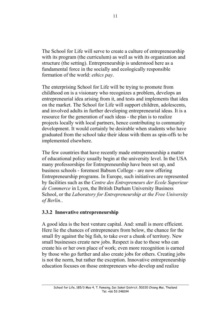The School for Life will serve to create a culture of entrepreneurship with its program (the curriculum) as well as with its organization and structure (the setting). Entrepreneurship is understood here as a fundamental force in the socially and ecologically responsible formation of the world: *ethics pay*.

The enterprising School for Life will be trying to promote from childhood on is a visionary who recognizes a problem, develops an entrepreneurial idea arising from it, and tests and implements that idea on the market. The School for Life will support children, adolescents, and involved adults in further developing entrepreneurial ideas. It is a resource for the generation of such ideas - the plan is to realize projects locally with local partners, hence contributing to community development. It would certainly be desirable when students who have graduated from the school take their ideas with them as spin-offs to be implemented elsewhere.

The few countries that have recently made entrepreneurship a matter of educational policy usually begin at the university level. In the USA many professorships for Entrepreneurship have been set up, and business schools - foremost Babson College - are now offering Entrepreneurship programs. In Europe, such initiatives are represented by facilities such as the *Centre des Entrepreneurs der Ecole Superieur de Commerce* in Lyon, the British Durham University Business School, or the *Laboratory for Entrepreneurship at the Free University of Berlin.*.

#### **3.3.2 Innovative entrepreneurship**

A good idea is the best venture capital. And: small is more efficient. Here lie the chances of entrepreneurs from below, the chance for the small fry against the big fish, to take over a chunk of territory. New small businesses create new jobs. Respect is due to those who can create his or her own place of work; even more recognition is earned by those who go further and also create jobs for others. Creating jobs is not the norm, but rather the exception. Innovative entrepreneurship education focuses on those entrepreneurs who develop and realize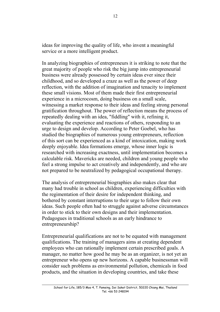ideas for improving the quality of life, who invent a meaningful service or a more intelligent product.

In analyzing biographies of entrepreneurs it is striking to note that the great majority of people who risk the big jump into entrepreneurial business were already possessed by certain ideas ever since their childhood, and so developed a craze as well as the power of deep reflection, with the addition of imagination and tenacity to implement these small visions. Most of them made their first entrepreneurial experience in a microcosm, doing business on a small scale, witnessing a market response to their ideas and feeling strong personal gratification throughout. The power of reflection means the process of repeatedly dealing with an idea, "fiddling" with it, refining it, evaluating the experience and reactions of others, responding to an urge to design and develop. According to Peter Goebel, who has studied the biographies of numerous young entrepreneurs, reflection of this sort can be experienced as a kind of intoxication, making work deeply enjoyable. Idea formations emerge, whose inner logic is researched with increasing exactness, until implementation becomes a calculable risk. Mavericks are needed, children and young people who feel a strong impulse to act creatively and independently, and who are not prepared to be neutralized by pedagogical occupational therapy.

The analysis of entrepreneurial biographies also makes clear that many had trouble in school as children, experiencing difficulties with the regimentation of their desire for independent thinking, and bothered by constant interruptions to their urge to follow their own ideas. Such people often had to struggle against adverse circumstances in order to stick to their own designs and their implementation. Pedagogues in traditional schools as an early hindrance to entrepreneurship?

Entrepreneurial qualifications are not to be equated with management qualifications. The training of managers aims at creating dependent employees who can rationally implement certain prescribed goals. A manager, no matter how good he may be as an organizer, is not yet an entrepreneur who opens up new horizons. A capable businessman will consider such problems as environmental pollution, chemicals in food products, and the situation in developing countries, and take these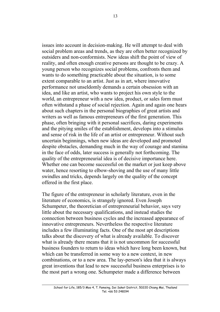issues into account in decision-making. He will attempt to deal with social problem areas and trends, as they are often better recognized by outsiders and non-conformists. New ideas shift the point of view of reality, and often enough creative persons are thought to be crazy. A young person who recognizes social problems, confronts them and wants to do something practicable about the situation, is to some extent comparable to an artist. Just as in art, where innovative performance not unseldomly demands a certain obsession with an idea, and like an artist, who wants to project his own style to the world, an entrepreneur with a new idea, product, or sales form must often withstand a phase of social rejection. Again and again one hears about such chapters in the personal biographies of great artists and writers as well as famous entrepreneurs of the first generation. This phase, often bringing with it personal sacrifices, daring experiments and the pitying smiles of the establishment, develops into a stimulus and sense of risk in the life of an artist or entrepreneur. Without such uncertain beginnings, when new ideas are developed and promoted despite obstacles, demanding much in the way of courage and stamina in the face of odds, later success is generally not forthcoming. The quality of the entrepreneurial idea is of decisive importance here. Whether one can become successful on the market or just keep above water, hence resorting to elbow-shoving and the use of many little swindles and tricks, depends largely on the quality of the concept offered in the first place.

The figure of the entrepreneur in scholarly literature, even in the literature of economics, is strangely ignored. Even Joseph Schumpeter, the theoretician of entrepreneurial behavior, says very little about the necessary qualifications, and instead studies the connection between business cycles and the increased appearance of innovative entrepreneurs. Nevertheless the respective literature includes a few illuminating facts. One of the most apt descriptions talks about the discovery of what is already available. To discover what is already there means that it is not uncommon for successful business founders to return to ideas which have long been known, but which can be transferred in some way to a new context, in new combinations, or to a new area. The lay-person's idea that it is always great inventions that lead to new successful business enterprises is to the most part a wrong one. Schumpeter made a difference between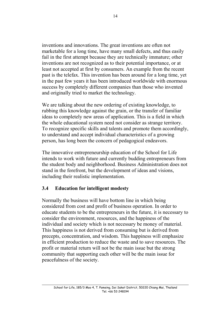inventions and innovations. The great inventions are often not marketable for a long time, have many small defects, and thus easily fail in the first attempt because they are technically immature; other inventions are not recognized as to their potential importance, or at least not accepted at first by consumers. An example from the recent past is the telefax. This invention has been around for a long time, yet in the past few years it has been introduced worldwide with enormous success by completely different companies than those who invented and originally tried to market the technology.

We are talking about the new ordering of existing knowledge, to rubbing this knowledge against the grain, or the transfer of familiar ideas to completely new areas of application. This is a field in which the whole educational system need not consider as strange territory. To recognize specific skills and talents and promote them accordingly, to understand and accept individual characteristics of a growing person, has long been the concern of pedagogical endeavors.

The innovative entrepreneurship education of the School for Life intends to work with future and currently budding entrepreneurs from the student body and neighborhood. Business Administration does not stand in the forefront, but the development of ideas and visions, including their realistic implementation.

## **3.4 Education for intelligent modesty**

Normally the business will have bottom line in which being considered from cost and profit of business operation. In order to educate students to be the entrepreneurs in the future, it is necessary to consider the environment, resources, and the happiness of the individual and society which is not necessary be money of material. This happiness is not derived from consuming but is derived from precepts, concentration, and wisdom. This happiness will emphasize in efficient production to reduce the waste and to save resources. The profit or material return will not be the main issue but the strong community that supporting each other will be the main issue for peacefulness of the society.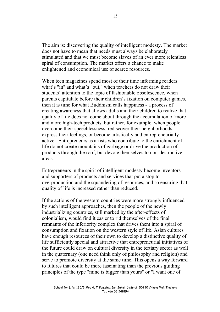The aim is: discovering the quality of intelligent modesty. The market does not have to mean that needs must always be elaborately stimulated and that we must become slaves of an ever more relentless spiral of consumption. The market offers a chance to make enlightened and economical use of scarce resources.

When teen magazines spend most of their time informing readers what's "in" and what's "out," when teachers do not draw their students' attention to the topic of fashionable obsolescence, when parents capitulate before their children's fixation on computer games, then it is time for what Buddhism calls happiness - a process of creating awareness that allows adults and their children to realize that quality of life does not come about through the accumulation of more and more high-tech products, but rather, for example, when people overcome their speechlessness, rediscover their neighborhoods, express their feelings, or become artistically and entrepreneurially active. Entrepreneurs as artists who contribute to the enrichment of life do not create mountains of garbage or drive the production of products through the roof, but devote themselves to non-destructive areas.

Entrepreneurs in the spirit of intelligent modesty become inventors and supporters of products and services that put a stop to overproduction and the squandering of resources, and so ensuring that quality of life is increased rather than reduced.

If the actions of the western countries were more strongly influenced by such intelligent approaches, then the people of the newly industrializing countries, still marked by the after-effects of colonialism, would find it easier to rid themselves of the final remnants of the inferiority complex that drives them into a spiral of consumption and fixation on the western style of life. Asian cultures have enough resources of their own to develop a distinctive quality of life sufficiently special and attractive that entrepreneurial initiatives of the future could draw on cultural diversity in the tertiary sector as well in the quaternary (one need think only of philosophy and religion) and serve to promote diversity at the same time. This opens a way forward to futures that could be more fascinating than the previous guiding principles of the type "mine is bigger than yours" or "I want one of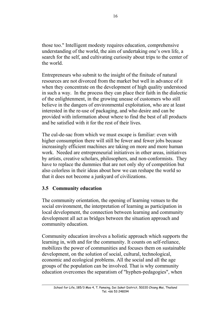those too." Intelligent modesty requires education, comprehensive understanding of the world, the aim of undertaking one's own life, a search for the self, and cultivating curiosity about trips to the center of the world.

Entrepreneurs who submit to the insight of the finitude of natural resources are not divorced from the market but well in advance of it when they concentrate on the development of high quality understood in such a way. In the process they can place their faith in the dialectic of the enlightenment, in the growing unease of customers who still believe in the dangers of environmental exploitation, who are at least interested in the re-use of packaging, and who desire and can be provided with information about where to find the best of all products and be satisfied with it for the rest of their lives.

The cul-de-sac from which we must escape is familiar: even with higher consumption there will still be fewer and fewer jobs because increasingly efficient machines are taking on more and more human work. Needed are entrepreneurial initiatives in other areas, initiatives by artists, creative scholars, philosophers, and non-conformists. They have to replace the dummies that are not only shy of competition but also colorless in their ideas about how we can reshape the world so that it does not become a junkyard of civilizations.

## **3.5 Community education**

The community orientation, the opening of learning venues to the social environment, the interpretation of learning as participation in local development, the connection between learning and community development all act as bridges between the situation approach and community education.

Community education involves a holistic approach which supports the learning in, with and for the community. It counts on self-reliance, mobilizes the power of communities and focuses them on sustainable development, on the solution of social, cultural, technological, economic and ecological problems. All the social and all the age groups of the population can be involved. That is why community education overcomes the separatism of "hyphen-pedagogies", when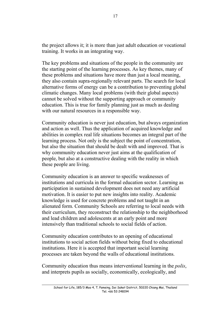the project allows it; it is more than just adult education or vocational training. It works in an integrating way.

The key problems and situations of the people in the community are the starting point of the learning processes. As key themes, many of these problems and situations have more than just a local meaning, they also contain supra-regionally relevant parts. The search for local alternative forms of energy can be a contribution to preventing global climatic changes. Many local problems (with their global aspects) cannot be solved without the supporting approach or community education. This is true for family planning just as much as dealing with our natural resources in a responsible way.

Community education is never just education, but always organization and action as well. Thus the application of acquired knowledge and abilities in complex real life situations becomes an integral part of the learning process. Not only is the subject the point of concentration, but also the situation that should be dealt with and improved. That is why community education never just aims at the qualification of people, but also at a constructive dealing with the reality in which these people are living.

Community education is an answer to specific weaknesses of institutions and curricula in the formal education sector. Learning as participation in sustained development does not need any artificial motivation. It is easier to put new insights into reality. Academic knowledge is used for concrete problems and not taught in an alienated form. Community Schools are referring to local needs with their curriculum, they reconstruct the relationship to the neighborhood and lead children and adolescents at an early point and more intensively than traditional schools to social fields of action.

Community education contributes to an opening of educational institutions to social action fields without being fixed to educational institutions. Here it is accepted that important social learning processes are taken beyond the walls of educational institutions.

Community education thus means interventional learning in the *polis*, and interprets pupils as socially, economically, ecologically, and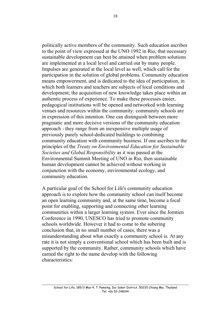politically active members of the community. Such education ascribes to the point of view expressed at the UNO 1992 in Rio, that necessary sustainable development can best be attained when problem solutions are implemented at a local level and carried out by many people. Impulses are generated at the local level as well, which call for the participation in the solution of global problems. Community education means empowerment, and is dedicated to the idea of participation, in which both learners and teachers are subjects of local conditions and development; the acquisition of new knowledge takes place within an authentic process of experience. To make these processes easier, pedagogical institutions will be opened and networked with learning venues and resources within the community: community schools are in expression of this intention. One can distinguish between more pragmatic and more decisive versions of the community education approach - they range from an inexpensive multiple usage of previously purely school-dedicated buildings to combining community education with community business. If one ascribes to the principles of the *Treaty on Environmental Education for Sustainable Societies and Global Responsibility* as it was passed at the Environmental Summit Meeting of UNO in Rio, then sustainable human development cannot be achieved without working in conjunction with the economy, environmental ecology, and community education.

A particular goal of the School for Life's community education approach is to explore how the community school can itself become an open learning community and, at the same time, become a focal point for enabling, supporting and connecting other learning communities within a larger learning system. Ever since the Jomtien Conference in 1990, UNESCO has tried to promote community schools worldwide. However it had to come to the sobering conclusion that, in no small number of cases, there was a misunderstanding about what exactly a community school is. At any rate it is not simply a conventional school which has been built and is supported by the community. Rather, community schools which have earned the right to the name develop with the following characteristics: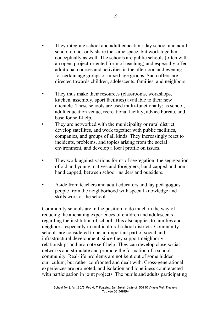- They integrate school and adult education: day school and adult school do not only share the same space, but work together conceptually as well. The schools are public schools (often with an open, project-oriented form of teaching) and especially offer additional courses and activities in the afternoon and evening for certain age groups or mixed age groups. Such offers are directed towards children, adolescents, families, and neighbors.
- They thus make their resources (classrooms, workshops, kitchen, assembly, sport facilities) available to their new clientèle. These schools are used multi-functionally: as school, adult education venue, recreational facility, advice bureau, and base for self-help.
- They are networked with the municipality or rural district, develop satellites, and work together with public facilities, companies, and groups of all kinds. They increasingly react to incidents, problems, and topics arising from the social environment, and develop a local profile on issues.
- They work against various forms of segregation: the segregation of old and young, natives and foreigners, handicapped and nonhandicapped, between school insiders and outsiders.
- Aside from teachers and adult educators and lay pedagogues, people from the neighborhood with special knowledge and skills work at the school.

Community schools are in the position to do much in the way of reducing the alienating experiences of children and adolescents regarding the institution of school. This also applies to families and neighbors, especially in multicultural school districts. Community schools are considered to be an important part of social and infrastructural development, since they support neighborly relationships and promote self-help. They can develop close social networks and stimulate and promote the formation of a school community. Real-life problems are not kept out of some hidden curriculum, but rather confronted and dealt with. Cross-generational experiences are promoted, and isolation and loneliness counteracted with participation in joint projects. The pupils and adults participating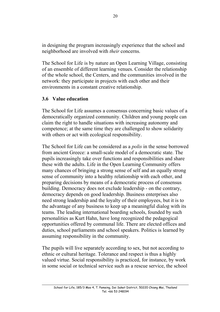in designing the program increasingly experience that the school and neighborhood are involved with *their* concerns.

The School for Life is by nature an Open Learning Village, consisting of an ensemble of different learning venues. Consider the relationship of the whole school, the Centers, and the communities involved in the network: they participate in projects with each other and their environments in a constant creative relationship.

## **3.6 Value education**

The School for Life assumes a consensus concerning basic values of a democratically organized community. Children and young people can claim the right to handle situations with increasing autonomy and competence; at the same time they are challenged to show solidarity with others or act with ecological responsibility.

The School for Life can be considered as a *polis* in the sense borrowed from ancient Greece: a small-scale model of a democratic state. The pupils increasingly take over functions and responsibilities and share these with the adults. Life in the Open Learning Community offers many chances of bringing a strong sense of self and an equally strong sense of community into a healthy relationship with each other, and preparing decisions by means of a democratic process of consensus building. Democracy does not exclude leadership - on the contrary, democracy depends on good leadership. Business enterprises also need strong leadership and the loyalty of their employees, but it is to the advantage of any business to keep up a meaningful dialog with its teams. The leading international boarding schools, founded by such personalities as Kurt Hahn, have long recognized the pedagogical opportunities offered by communal life. There are elected offices and duties, school parliaments and school speakers. Politics is learned by assuming responsibility in the community.

The pupils will live separately according to sex, but not according to ethnic or cultural heritage. Tolerance and respect is thus a highly valued virtue. Social responsibility is practiced, for instance, by work in some social or technical service such as a rescue service, the school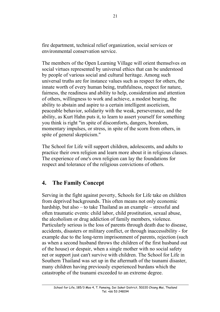fire department, technical relief organization, social services or environmental conservation service.

The members of the Open Learning Village will orient themselves on social virtues represented by universal ethics that can be understood by people of various social and cultural heritage. Among such universal truths are for instance values such as respect for others, the innate worth of every human being, truthfulness, respect for nature, fairness, the readiness and ability to help, consideration and attention of others, willingness to work and achieve, a modest bearing, the ability to abstain and aspire to a certain intelligent asceticism, peaceable behavior, solidarity with the weak, perseverance, and the ability, as Kurt Hahn puts it, to learn to assert yourself for something you think is right "in spite of discomforts, dangers, boredom, momentary impulses, or stress, in spite of the scorn from others, in spite of general skepticism."

The School for Life will support children, adolescents, and adults to practice their own religion and learn more about it in religious classes. The experience of one's own religion can lay the foundations for respect and tolerance of the religious convictions of others.

## **4. The Family Concept**

Serving in the fight against poverty, Schools for Life take on children from deprived backgrounds. This often means not only economic hardship, but also – to take Thailand as an example – stressful and often traumatic events: child labor, child prostitution, sexual abuse, the alcoholism or drug addiction of family members, violence. Particularly serious is the loss of parents through death due to disease, accidents, disasters or military conflict, or through inaccessibility - for example due to the long-term imprisonment of parents, rejection (such as when a second husband throws the children of the first husband out of the house) or despair, when a single mother with no social safety net or support just can't survive with children. The School for Life in Southern Thailand was set up in the aftermath of the tsunami disaster, many children having previously experienced burdans which the catastrophe of the tsunami exceeded to an extreme degree.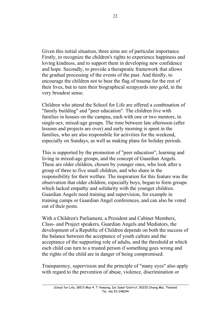Given this initial situation, three aims are of particular importance. Firstly, to recognize the children's rights to experience happiness and loving kindness, and to support them in developing new confidence and hope. Secondly, to provide a therapeutic framework that allows the gradual processing of the events of the past. And thirdly, to encourage the children not to bear the flag of trauma for the rest of their lives, but to turn their biographical scrapyards into gold, in the very broadest sense.

Children who attend the School for Life are offered a combination of "family building" and "peer education". The children live with families in houses on the campus, each with one or two mentors, in single-sex, mixed-age groups. The time between late afternoon (after lessons and projects are over) and early morning is spent in the families, who are also responsbile for activities for the weekend, especially on Sundays, as well as making plans for holiday periods.

This is supported by the promotion of "peer education", learning and living in mixed-age groups, and the concept of Guardian Angels. These are older children, chosen by younger ones, who look after a group of three to five small children, and who share in the responsibility for their welfare. The inspiration for this feature was the observation that older children, especially boys, began to form groups which lacked empathy and solidarity with the younger children. Guardian Angels need training and supervision, for example in training camps or Guardian Angel conferences, and can also be voted out of their posts.

With a Children's Parliament, a President and Cabinet Members, Class- and Project speakers, Guardian Angels and Mediators, the development of a Republic of Children depends on both the success of the balance between the acceptance of youth culture and the acceptance of the supporting role of adults, and the threshold at which each child can turn to a trusted person if something goes wrong and the rights of the child are in danger of being compromised.

Transparency, supervision and the principle of "many eyes" also apply with regard to the prevention of abuse, violence, discrimination or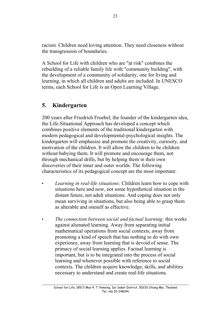racism. Children need loving attention. They need closeness without the transgression of boundaries.

A School for Life with children who are "at risk" combines the rebuilding of a reliable family life with "community building", with the development of a community of solidarity, one for living and learning, in which all children and adults are included. In UNESCO terms, each School for Life is an Open Learning Village.

## **5. Kindergarten**

200 years after Friedrich Froebel, the founder of the kindergarten idea, the Life-Situational Approach has developed a concept which combines positive elements of the traditional kindergarten with modern pedagogical and developmental-psychological insights. The kindergarten will emphasize and promote the creativity, curiosity, and motivation of the children. It will allow the children to be children without babying them. It will promote and encourage them, not through mechanical drills, but by helping them in their own discoveries of their inner and outer worlds. The following characteristics of its pedagogical concept are the most important:

- *Learning in real-life situations:* Children learn how to cope with situations here and now, not some hypothetical situation in the distant future, not adult situations. And coping does not only mean surviving in situations, but also being able to grasp them as alterable and oneself as effective.
- *The connection between social and factual learning:* this works against alienated learning. Away from separating initial mathematical operations from social contexts, away from promoting a kind of speech that has nothing to do with own experience, away from learning that is devoid of sense. The primacy of social learning applies. Factual learning is important, but is to be integrated into the process of social learning and whenever possible with reference to social contexts. The children acquire knowledge, skills, and abilities necessary to understand and create real-life situations.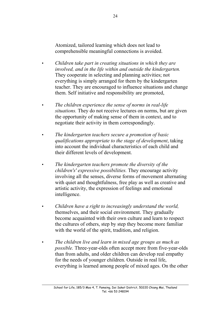Atomized, tailored learning which does not lead to comprehensible meaningful connections is avoided.

- *Children take part in creating situations in which they are involved, and in the life within and outside the kindergarten.* They cooperate in selecting and planning activities; not everything is simply arranged for them by the kindergarten teacher. They are encouraged to influence situations and change them. Self initiative and responsibility are promoted,
- *The children experience the sense of norms in real-life situations.* They do not receive lectures on norms, but are given the opportunity of making sense of them in context, and to negotiate their activity in them correspondingly.
- *The kindergarten teachers secure a promotion of basic qualifications appropriate to the stage of development*, taking into account the individual characteristics of each child and their different levels of development.
- *The kindergarten teachers promote the diversity of the children's' expressive possibilities.* They encourage activity involving all the senses, diverse forms of movement alternating with quiet and thoughtfulness, free play as well as creative and artistic activity, the expression of feelings and emotional intelligence.
- *Children have a right to increasingly understand the world,* themselves, and their social environment. They gradually become acquainted with their own culture and learn to respect the cultures of others, step by step they become more familiar with the world of the spirit, tradition, and religion.
- *The children live and learn in mixed age groups as much as possible.* Three-year-olds often accept more from five-year-olds than from adults, and older children can develop real empathy for the needs of younger children. Outside in real life, everything is learned among people of mixed ages. On the other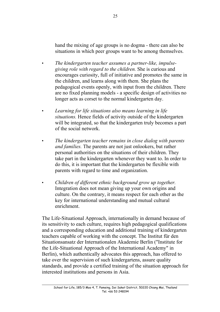hand the mixing of age groups is no dogma - there can also be situations in which peer groups want to be among themselves.

- *The kindergarten teacher assumes a partner-like, impulsegiving role with regard to the children.* She is curious and encourages curiosity, full of initiative and promotes the same in the children, and learns along with them. She plans the pedagogical events openly, with input from the children. There are no fixed planning models - a specific design of activities no longer acts as corset to the normal kindergarten day.
- *Learning for life situations also means learning in life situations.* Hence fields of activity outside of the kindergarten will be integrated, so that the kindergarten truly becomes a part of the social network.
- *The kindergarten teacher remains in close dialog with parents and families.* The parents are not just onlookers, but rather personal authorities on the situations of their children. They take part in the kindergarten whenever they want to. In order to do this, it is important that the kindergarten be flexible with parents with regard to time and organization.
- *Children of different ethnic background grow up together.* Integration does not mean giving up your own origins and culture. On the contrary, it means respect for each other as the key for international understanding and mutual cultural enrichment.

The Life-Situational Approach, internationally in demand because of its sensitivity to each culture, requires high pedagogical qualifications and a corresponding education and additional training of kindergarten teachers capable of working with the concept. The Institut für den Situationsansatz der Internationalen Akademie Berlin ("Institute for the Life-Situational Approach of the International Academy" in Berlin), which authentically advocates this approach, has offered to take over the supervision of such kindergartens, assure quality standards, and provide a certified training of the situation approach for interested institutions and persons in Asia.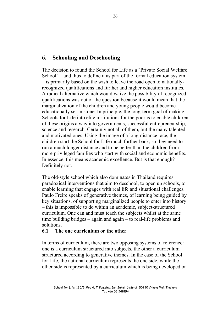## **6. Schooling and Deschooling**

The decision to found the School for Life as a "Private Social Welfare School" – and thus to define it as part of the formal education system – is primarily based on the wish to leave the road open to nationallyrecognized qualifications and further and higher education institutes. A radical alternative which would waive the possibility of recognized qualifications was out of the question because it would mean that the marginalization of the children and young people would become educationally set in stone. In principle, the long-term goal of making Schools for Life into elite institutions for the poor is to enable children of these origins a way into governments, successful entrepreneurship, science and research. Certainly not all of them, but the many talented and motivated ones. Using the image of a long-distance race, the children start the School for Life much further back, so they need to run a much longer distance and to be better than the children from more privileged families who start with social and economic benefits. In essence, this means academic excellence. But is that enough? Definitely not.

The old-style school which also dominates in Thailand requires paradoxical interventions that aim to deschool, to open up schools, to enable learning that engages with real life and situational challenges. Paulo Freire speaks of generative themes, of learning being guided by key situations, of supporting marginalized people to enter into history – this is impossible to do within an academic, subject-structured curriculum. One can and must teach the subjects whilst at the same time building bridges – again and again – to real-life problems and solutions.

## **6.1 The one curriculum or the other**

In terms of curriculum, there are two opposing systems of reference: one is a curriculum structured into subjects, the other a curriculum structured according to generative themes. In the case of the School for Life, the national curriculum represents the one side, while the other side is represented by a curriculum which is being developed on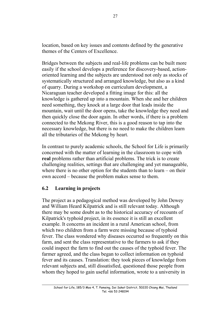location, based on key issues and contents defined by the generative themes of the Centers of Excellence.

Bridges between the subjects and real-life problems can be built more easily if the school develops a preference for discovery-based, actionoriented learning and the subjects are understood not only as stocks of systematically structured and arranged knowledge, but also as a kind of quarry. During a workshop on curriculum development, a Nicaraguan teacher developed a fitting image for this: all the knowledge is gathered up into a mountain. When she and her children need something, they knock at a large door that leads inside the mountain, wait until the door opens, take the knowledge they need and then quickly close the door again. In other words, if there is a problem connected to the Mekong River, this is a good reason to tap into the necessary knowledge, but there is no need to make the children learn all the tributaries of the Mekong by heart.

In contrast to purely academic schools, the School for Life is primarily concerned with the matter of learning in the classroom to cope with **real** problems rather than artificial problems. The trick is to create challenging realities, settings that are challenging and yet manageable, where there is no other option for the students than to learn – on their own accord – because the problem makes sense to them.

## **6.2 Learning in projects**

The project as a pedagogical method was developed by John Dewey and William Heard Kilpatrick and is still relevant today. Although there may be some doubt as to the historical accuracy of recounts of Kilpatrick's typhoid project, in its essence it is still an excellent example. It concerns an incident in a rural American school, from which two children from a farm were missing because of typhoid fever. The class wondered why diseases occurred so frequently on this farm, and sent the class representative to the farmers to ask if they could inspect the farm to find out the causes of the typhoid fever. The farmer agreed, and the class began to collect information on typhoid fever and its causes. Translation: they took pieces of knowledge from relevant subjects and, still dissatisfied, questioned those people from whom they hoped to gain useful information, wrote to a university in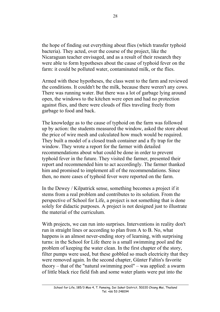the hope of finding out everything about flies (which transfer typhoid bacteria). They acted, over the course of the project, like the Nicaraguan teacher envisaged, and as a result of their research they were able to form hypotheses about the cause of typhoid fever on the farm: it could be polluted water, contaminated milk, or the flies.

Armed with these hypotheses, the class went to the farm and reviewed the conditions. It couldn't be the milk, because there weren't any cows. There was running water. But there was a lot of garbage lying around open, the windows to the kitchen were open and had no protection against flies, and there were clouds of flies traveling freely from garbage to food and back.

The knowledge as to the cause of typhoid on the farm was followed up by action: the students measured the window, asked the store about the price of wire mesh and calculated how much would be required. They built a model of a closed trash container and a fly trap for the window. They wrote a report for the farmer with detailed recommendations about what could be done in order to prevent typhoid fever in the future. They visited the farmer, presented their report and recommended him to act accordingly. The farmer thanked him and promised to implement all of the recommendations. Since then, no more cases of typhoid fever were reported on the farm.

In the Dewey / Kilpatrick sense, something becomes a project if it stems from a real problem and contributes to its solution. From the perspective of School for Life, a project is not something that is done solely for didactic purposes. A project is not designed just to illustrate the material of the curriculum.

With projects, we can run into surprises. Interventions in reality don't run in straight lines or according to plan from A to B. No, what happens is an almost never-ending story of learning, with surprising turns: in the School for Life there is a small swimming pool and the problem of keeping the water clean. In the first chapter of the story, filter pumps were used, but these gobbled so much electricity that they were removed again. In the second chapter, Günter Faltin's favorite theory – that of the "natural swimming pool" – was applied: a swarm of little black rice field fish and some water plants were put into the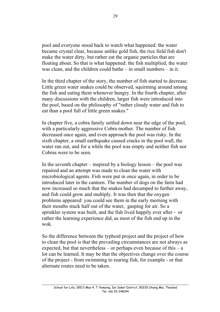pool and everyone stood back to watch what happened: the water became crystal clear, because unlike gold fish, the rice field fish don't make the water dirty, but rather eat the organic particles that are floating about. So that is what happened: the fish multiplied, the water was clean, and the children could bathe – in small numbers – in it.

In the third chapter of the story, the number of fish started to decrease. Little green water snakes could be observed, squirming around among the fish and eating them whenever hungry. In the fourth chapter, after many discussions with the children, larger fish were introduced into the pool, based on the philosophy of "rather cloudy water and fish to eat than a pool full of little green snakes."

In chapter five, a cobra family settled down near the edge of the pool, with a particularly aggressive Cobra mother. The number of fish decreased once again, and even approach the pool was risky. In the sixth chapter, a small earthquake caused cracks in the pool wall, the water ran out, and for a while the pool was empty and neither fish nor Cobras were to be seen.

In the seventh chapter – inspired by a biology lesson – the pool was repaired and an attempt was made to clean the water with microbiological agents. Fish were put in once again, in order to be introduced later in the canteen. The number of dogs on the farm had now increased so much that the snakes had decamped to further away, and fish could grow and multiply. It was then that the oxygen problems appeared: you could see them in the early morning with their mouths stuck half out of the water, gasping for air. So a sprinkler system was built, and the fish lived happily ever after - or rather the learning experience did, as most of the fish end up in the wok.

So the difference between the typhoid project and the project of how to clean the pool is that the prevailing circumstances are not always as expected, but that nevertheless – or perhaps even because of this  $-$  a lot can be learned. It may be that the objectives change over the course of the project - from swimming to rearing fish, for example - or that alternate routes need to be taken.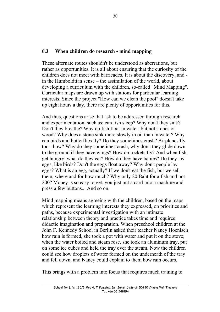## **6.3 When children do research - mind mapping**

These alternate routes shouldn't be understood as aberrations, but rather as opportunities. It is all about ensuring that the curiosity of the children does not meet with barricades. It is about the discovery, and in the Humboldtian sense – the assimilation of the world, about developing a curriculum with the children, so-called "Mind Mapping". Curricular maps are drawn up with stations for particular learning interests. Since the project "How can we clean the pool" doesn't take up eight hours a day, there are plenty of opportunities for this.

And thus, questions arise that ask to be addressed through research and experimentation, such as: can fish sleep? Why don't they sink? Don't they breathe? Why do fish float in water, but not stones or wood? Why does a stone sink more slowly in oil than in water? Why can birds and butterflies fly? Do they sometimes crash? Airplanes fly too - how? Why do they sometimes crash, why don't they glide down to the ground if they have wings? How do rockets fly? And when fish get hungry, what do they eat? How do they have babies? Do they lay eggs, like birds? Don't the eggs float away? Why don't people lay eggs? What is an egg, actually? If we don't eat the fish, but we sell them, where and for how much? Why only 20 Baht for a fish and not 200? Money is so easy to get, you just put a card into a machine and press a few buttons... And so on.

Mind mapping means agreeing with the children, based on the maps which represent the learning interests they expressed, on priorities and paths, because experimental investigation with an intimate relationship between theory and practice takes time and requires didactic imagination and preparation. When preschool children at the John F. Kennedy School in Berlin asked their teacher Nancy Hoenisch how rain is formed, she took a pot with water and put it on the stove; when the water boiled and steam rose, she took an aluminum tray, put on some ice cubes and held the tray over the steam. Now the children could see how droplets of water formed on the underneath of the tray and fell down, and Nancy could explain to them how rain occurs.

This brings with a problem into focus that requires much training to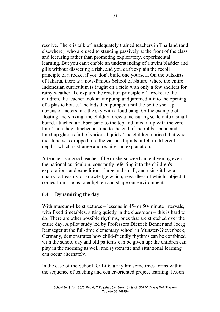resolve. There is talk of inadequately trained teachers in Thailand (and elsewhere), who are used to standing passively at the front of the class and lecturing rather than promoting exploratory, experimental learning. But you can't enable an understanding of a swim bladder and gills without dissecting a fish, and you can't explain the recoil principle of a rocket if you don't build one yourself. On the outskirts of Jakarta, there is a now-famous School of Nature, where the entire Indonesian curriculum is taught on a field with only a few shelters for rainy weather. To explain the reaction principle of a rocket to the children, the teacher took an air pump and jammed it into the opening of a plastic bottle. The kids then pumped until the bottle shot up dozens of meters into the sky with a loud bang. Or the example of floating and sinking: the children drew a measuring scale onto a small board, attached a rubber band to the top and lined it up with the zero line. Then they attached a stone to the end of the rubber band and lined up glasses full of various liquids. The children noticed that when the stone was dropped into the various liquids, it fell to different depths, which is strange and requires an explanation.

A teacher is a good teacher if he or she succeeds in enlivening even the national curriculum, constantly referring it to the children's explorations and expeditions, large and small, and using it like a quarry: a treasury of knowledge which, regardless of which subject it comes from, helps to enlighten and shape our environment.

## **6.4 Dynamizing the day**

With museum-like structures – lessons in 45- or 50-minute intervals. with fixed timetables, sitting quietly in the classroom – this is hard to do. There are other possible rhythms, ones that are stretched over the entire day. A pilot study led by Professors Dietrich Benner and Joerg Ramseger at the full-time elementary school in Munster-Gievenbeck, Germany, demonstrates how child-friendly rhythms can be combined with the school day and old patterns can be given up: the children can play in the morning as well, and systematic and situational learning can occur alternately.

In the case of the School for Life, a rhythm sometimes forms within the sequence of teaching and center-oriented project learning: lesson –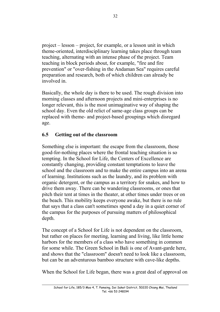project – lesson – project, for example, or a lesson unit in which theme-oriented, interdisciplinary learning takes place through team teaching, alternating with an intense phase of the project. Team teaching in block periods about, for example, "fire and fire prevention" or "over-fishing in the Andaman Sea" requires careful preparation and research, both of which children can already be involved in.

Basically, the whole day is there to be used. The rough division into morning classes and afternoon projects and mini-enterprises is no longer relevant, this is the most unimaginative way of shaping the school day. Even the old relict of same-age class groups can be replaced with theme- and project-based groupings which disregard age.

## **6.5 Getting out of the classroom**

Something else is important: the escape from the classroom, those good-for-nothing places where the frontal teaching situation is so tempting. In the School for Life, the Centers of Excellence are constantly changing, providing constant temptations to leave the school and the classroom and to make the entire campus into an arena of learning. Institutions such as the laundry, and its problem with organic detergent, or the campus as a territory for snakes, and how to drive them away. There can be wandering classrooms, or ones that pitch their tent at times in the theater, at other times under trees or on the beach. This mobility keeps everyone awake, but there is no rule that says that a class can't sometimes spend a day in a quiet corner of the campus for the purposes of pursuing matters of philosophical depth.

The concept of a School for Life is not dependent on the classroom, but rather on places for meeting, learning and living, like little home harbors for the members of a class who have something in common for some while. The Green School in Bali is one of Avant-garde here, and shows that the "classroom" doesn't need to look like a classroom, but can be an adventurous bamboo structure with cave-like depths.

When the School for Life began, there was a great deal of approval on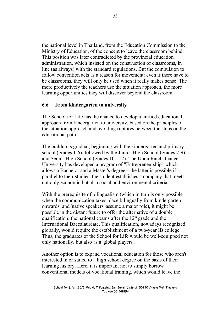the national level in Thailand, from the Education Commission to the Ministry of Education, of the concept to leave the classroom behind. This position was later contradicted by the provincial education administration, which insisted on the construction of classrooms, in line (as always) with the standard regulations. But the compulsion to follow convention acts as a reason for movement: even if there have to be classrooms, they will only be used when it really makes sense. The more productively the teachers use the situation approach, the more learning opportunities they will discover beyond the classroom.

#### **6.6 From kindergarten to university**

The School for Life has the chance to develop a unified educational approach from kindergarten to university, based on the principles of the situation approach and avoiding ruptures between the steps on the educational path.

The buildup is gradual, beginning with the kindergarten and primary school (grades 1-6), followed by the Junior High School (grades 7-9) and Senior High School (grades 10 - 12). The Ubon Ratchathanee University has developed a program of "Entrepreneurship" which allows a Bachelor and a Master's degree – the latter is possible if parallel to their studies, the student establishes a company that meets not only economic but also social and environmental criteria.

With the prerequisite of bilingualism (which in turn is only possible when the communication takes place bilingually from kindergarten onwards, and 'native speakers' assume a major role), it might be possible in the distant future to offer the alternative of a double qualification: the national exams after the  $12<sup>th</sup>$  grade and the International Baccalaureate. This qualification, nowadays recognized globally, would require the establishment of a two-year IB college. Thus, the graduates of the School for Life would be well-equipped not only nationally, but also as a 'global players'.

Another option is to expand vocational education for those who aren't interested in or suited to a high school degree on the basis of their learning history. Here, it is important not to simply borrow conventional models of vocational training, which would leave the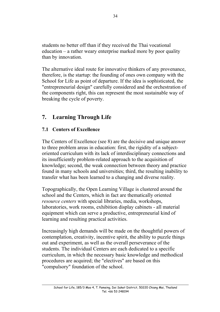students no better off than if they received the Thai vocational education – a rather weary enterprise marked more by poor quality than by innovation.

The alternative ideal route for innovative thinkers of any provenance, therefore, is the startup: the founding of ones own company with the School for Life as point of departure. If the idea is sophisticated, the "entrepreneurial design" carefully considered and the orchestration of the components right, this can represent the most sustainable way of breaking the cycle of poverty.

## **7. Learning Through Life**

## **7.1 Centers of Excellence**

The Centers of Excellence (see 8) are the decisive and unique answer to three problem areas in education: first, the rigidity of a subjectoriented curriculum with its lack of interdisciplinary connections and its insufficiently problem-related approach to the acquisition of knowledge; second, the weak connection between theory and practice found in many schools and universities; third, the resulting inability to transfer what has been learned to a changing and diverse reality.

Topographically, the Open Learning Village is clustered around the school and the Centers, which in fact are thematically oriented *resource centers* with special libraries, media, workshops, laboratories, work rooms, exhibition display cabinets - all material equipment which can serve a productive, entrepreneurial kind of learning and resulting practical activities.

Increasingly high demands will be made on the thoughtful powers of contemplation, creativity, incentive spirit, the ability to puzzle things out and experiment, as well as the overall perseverance of the students. The individual Centers are each dedicated to a specific curriculum, in which the necessary basic knowledge and methodical procedures are acquired; the "electives" are based on this "compulsory" foundation of the school.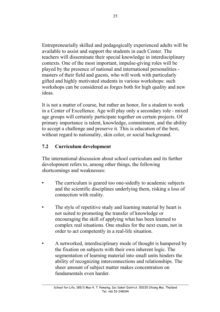Entrepreneurially skilled and pedagogically experienced adults will be available to assist and support the students in each Center. The teachers will disseminate their special knowledge in interdisciplinary contexts. One of the most important, impulse-giving roles will be played by the presence of national and international personalities masters of their field and guests, who will work with particularly gifted and highly motivated students in various workshops: such workshops can be considered as forges both for high quality and new ideas.

It is not a matter of course, but rather an honor, for a student to work in a Center of Excellence. Age will play only a secondary role - mixed age groups will certainly participate together on certain projects. Of primary importance is talent, knowledge, commitment, and the ability to accept a challenge and preserve it. This is education of the best, without regard to nationality, skin color, or social background.

## **7.2 Curriculum development**

The international discussion about school curriculum and its further development refers to, among other things, the following shortcomings and weaknesses:

- The curriculum is geared too one-sidedly to academic subjects and the scientific disciplines underlying them, risking a loss of connection with reality.
- The style of repetitive study and learning material by heart is not suited to promoting the transfer of knowledge or encouraging the skill of applying what has been learned to complex real situations. One studies for the next exam, not in order to act competently in a real-life situation.
- A networked, interdisciplinary mode of thought is hampered by the fixation on subjects with their own inherent logic. The segmentation of learning material into small units hinders the ability of recognizing interconnections and relationships. The sheer amount of subject matter makes concentration on fundamentals even harder.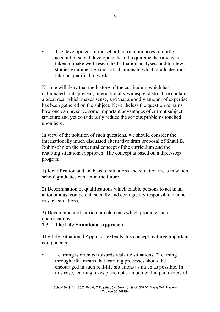The development of the school curriculum takes too little account of social developments and requirements; time is not taken to make well-researched situation analyses, and too few studies examine the kinds of situations in which graduates must later be qualified to work.

No one will deny that the history of the curriculum which has culminated in its present, internationally widespread structure contains a great deal which makes sense, and that a goodly amount of expertise has been gathered on the subject. Nevertheless the question remains how one can preserve some important advantages of current subject structure and yet considerably reduce the serious problems touched upon here.

In view of the solution of such questions, we should consider the internationally much discussed alternative draft proposal of Shaul B. Robinsohn on the structural concept of the curriculum and the resulting situational approach. The concept is based on a three-step program:

1) Identification and analysis of situations and situation areas in which school graduates can act in the future.

2) Determination of qualifications which enable persons to act in an autonomous, competent, socially and ecologically responsible manner in such situations.

3) Development of curriculum elements which promote such qualifications.

## **7.3 The Life-Situational Approach**

The Life-Situational Approach extends this concept by three important components:

Learning is oriented towards real-life situations. "Learning through life" means that learning processes should be encouraged in such real-life situations as much as possible. In this case, learning takes place not so much within parameters of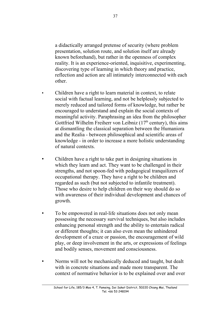a didactically arranged pretense of security (where problem presentation, solution route, and solution itself are already known beforehand), but rather in the openness of complex reality. It is an experience-oriented, inquisitive, experimenting, discovering type of learning in which theory and practice, reflection and action are all intimately interconnected with each other.

- Children have a right to learn material in context, to relate social with factual learning, and not be helplessly subjected to merely reduced and tailored forms of knowledge, but rather be encouraged to understand and explain the social contexts of meaningful activity. Paraphrasing an idea from the philosopher Gottfried Wilhelm Freiherr von Leibniz  $(17<sup>th</sup>$  century), this aims at dismantling the classical separation between the Humaniora and the Realia - between philosophical and scientific areas of knowledge - in order to increase a more holistic understanding of natural contexts.
- Children have a right to take part in designing situations in which they learn and act. They want to be challenged in their strengths, and not spoon-fed with pedagogical tranquilizers of occupational therapy. They have a right to be children and regarded as such (but not subjected to infantile treatment). Those who desire to help children on their way should do so with awareness of their individual development and chances of growth.
- To be empowered in real-life situations does not only mean possessing the necessary survival techniques, but also includes enhancing personal strength and the ability to entertain radical or different thoughts; it can also even mean the unhindered development of a craze or passion, the encouragement of wild play, or deep involvement in the arts, or expressions of feelings and bodily senses, movement and consciousness.
- Norms will not be mechanically deduced and taught, but dealt with in concrete situations and made more transparent. The context of normative behavior is to be explained over and over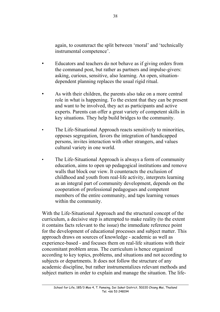again, to counteract the split between 'moral' and 'technically instrumental competence'.

- Educators and teachers do not behave as if giving orders from the command post, but rather as partners and impulse-givers: asking, curious, sensitive, also learning. An open, situationdependent planning replaces the usual rigid ritual.
- As with their children, the parents also take on a more central role in what is happening. To the extent that they can be present and want to be involved, they act as participants and active experts. Parents can offer a great variety of competent skills in key situations. They help build bridges to the community.
- The Life-Situational Approach reacts sensitively to minorities, opposes segregation, favors the integration of handicapped persons, invites interaction with other strangers, and values cultural variety in one world.
- The Life-Situational Approach is always a form of community education, aims to open up pedagogical institutions and remove walls that block our view. It counteracts the exclusion of childhood and youth from real-life activity, interprets learning as an integral part of community development, depends on the cooperation of professional pedagogues and competent members of the entire community, and taps learning venues within the community.

With the Life-Situational Approach and the structural concept of the curriculum, a decisive step is attempted to make reality (to the extent it contains facts relevant to the issue) the immediate reference point for the development of educational processes and subject matter. This approach draws on sources of knowledge - academic as well as experience-based - and focuses them on real-life situations with their concomitant problem areas. The curriculum is hence organized according to key topics, problems, and situations and not according to subjects or departments. It does not follow the structure of any academic discipline, but rather instrumentalizes relevant methods and subject matters in order to explain and manage the situation. The life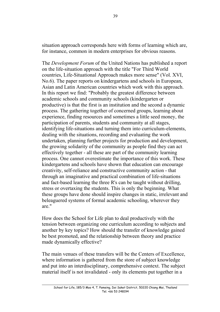situation approach corresponds here with forms of learning which are, for instance, common in modern enterprises for obvious reasons.

The *Development Forum* of the United Nations has published a report on the life-situation approach with the title "For Third World countries, Life-Situational Approach makes more sense" (Vol. XVI, No.6). The paper reports on kindergartens and schools in European, Asian and Latin American countries which work with this approach. In this report we find: "Probably the greatest difference between academic schools and community schools (kindergarten or productive) is that the first is an institution and the second a dynamic process. The gathering together of concerned groups, learning about experience, finding resources and sometimes a little seed money, the participation of parents, students and community at all stages, identifying life-situations and turning them into curriculum-elements, dealing with the situations, recording and evaluating the work undertaken, planning further projects for production and development, the growing solidarity of the community as people find they can act effectively together - all these are part of the community learning process. One cannot overestimate the importance of this work. These kindergartens and schools have shown that education can encourage creativity, self-reliance and constructive community action - that through an imaginative and practical combination of life-situations and fact-based learning the three R's can be taught without drilling, stress or overtaxing the students. This is only the beginning. What these groups have done should inspire changes in static, irrelevant and beleaguered systems of formal academic schooling, wherever they are."

How does the School for Life plan to deal productively with the tension between organizing one curriculum according to subjects and another by key topics? How should the transfer of knowledge gained be best promoted, and the relationship between theory and practice made dynamically effective?

The main venues of these transfers will be the Centers of Excellence, where information is gathered from the store of subject knowledge and put into an interdisciplinary, comprehensive context. The subject material itself is not invalidated - only its elements put together in a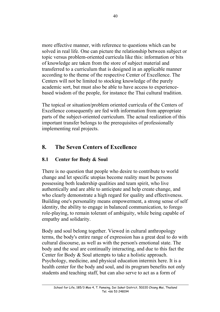more effective manner, with reference to questions which can be solved in real life. One can picture the relationship between subject or topic versus problem-oriented curricula like this: information or bits of knowledge are taken from the store of subject material and transferred to a curriculum that is designed in an applicable manner according to the theme of the respective Center of Excellence. The Centers will not be limited to stocking knowledge of the purely academic sort, but must also be able to have access to experiencebased wisdom of the people, for instance the Thai cultural tradition.

The topical or situation/problem oriented curricula of the Centers of Excellence consequently are fed with information from appropriate parts of the subject-oriented curriculum. The actual realization of this important transfer belongs to the prerequisites of professionally implementing real projects.

## **8. The Seven Centers of Excellence**

## **8.1 Center for Body & Soul**

There is no question that people who desire to contribute to world change and let specific utopias become reality must be persons possessing both leadership qualities and team spirit, who live authentically and are able to anticipate and help create change, and who clearly demonstrate a high regard for quality and effectiveness. Building one's personality means empowerment, a strong sense of self identity, the ability to engage in balanced communication, to forego role-playing, to remain tolerant of ambiguity, while being capable of empathy and solidarity.

Body and soul belong together. Viewed in cultural anthropology terms, the body's entire range of expression has a great deal to do with cultural discourse, as well as with the person's emotional state. The body and the soul are continually interacting, and due to this fact the Center for Body & Soul attempts to take a holistic approach. Psychology, medicine, and physical education intermix here. It is a health center for the body and soul, and its program benefits not only students and teaching staff, but can also serve to act as a form of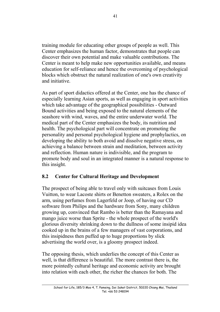training module for educating other groups of people as well. This Center emphasizes the human factor, demonstrates that people can discover their own potential and make valuable contributions. The Center is meant to help make new opportunities available, and means education for self-reliance and hence the overcoming of psychological blocks which obstruct the natural realization of one's own creativity and initiative.

As part of sport didactics offered at the Center, one has the chance of especially learning Asian sports, as well as engaging in sport activities which take advantage of the geographical possibilities - Outward Bound activities and being exposed to the natural elements of the seashore with wind, waves, and the entire underwater world. The medical part of the Center emphasizes the body, its nutrition and health. The psychological part will concentrate on promoting the personality and personal psychological hygiene and prophylactics, on developing the ability to both avoid and dissolve negative stress, on achieving a balance between strain and meditation, between activity and reflection. Human nature is indivisible, and the program to promote body and soul in an integrated manner is a natural response to this insight.

## **8.2 Center for Cultural Heritage and Development**

The prospect of being able to travel only with suitcases from Louis Vuitton, to wear Lacoste shirts or Benetton sweaters, a Rolex on the arm, using perfumes from Lagerfeld or Joop, of having our CD software from Philips and the hardware from Sony, many children growing up, convinced that Rambo is better than the Ramayana and mango juice worse than Sprite - the whole prospect of the world's glorious diversity shrinking down to the dullness of some insipid idea cooked up in the brains of a few managers of vast corporations, and this insipidness then puffed up to huge proportions by slick advertising the world over, is a gloomy prospect indeed.

The opposing thesis, which underlies the concept of this Center as well, is that difference is beautiful. The more contrast there is, the more pointedly cultural heritage and economic activity are brought into relation with each other, the richer the chances for both. The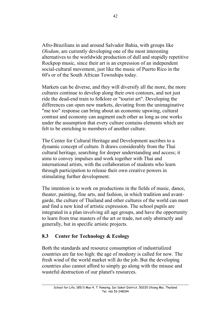Afro-Brazilians in and around Salvador Bahia, with groups like *Olodum*, are currently developing one of the most interesting alternatives to the worldwide production of dull and stupidly repetitive Rockpop music, since their art is an expression of an independent social-cultural movement, just like the music of Puerto Rico in the 60's or of the South African Townships today.

Markets can be diverse, and they will diversify all the more, the more cultures continue to develop along their own contours, and not just ride the dead-end train to folklore or "tourist art". Developing the differences can open new markets, deviating from the unimaginative "me too" response can bring about an economic upswing, cultural contrast and economy can augment each other as long as one works under the assumption that every culture contains elements which are felt to be enriching to members of another culture.

The Center for Cultural Heritage and Development ascribes to a dynamic concept of culture. It draws considerably from the Thai cultural heritage, searching for deeper understanding and access; it aims to convey impulses and work together with Thai and international artists, with the collaboration of students who learn through participation to release their own creative powers in stimulating further development.

The intention is to work on productions in the fields of music, dance, theater, painting, fine arts, and fashion, in which tradition and avantgarde, the culture of Thailand and other cultures of the world can meet and find a new kind of artistic expression. The school pupils are integrated in a plan involving all age groups, and have the opportunity to learn from true masters of the art or trade, not only abstractly and generally, but in specific artistic projects.

#### **8.3 Center for Technology & Ecology**

Both the standards and resource consumption of industrialized countries are far too high: the age of modesty is called for now. The fresh wind of the world market will do the job. But the developing countries also cannot afford to simply go along with the misuse and wasteful destruction of our planet's resources.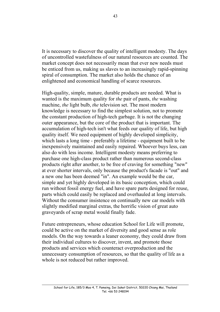It is necessary to discover the quality of intelligent modesty. The days of uncontrolled wastefulness of our natural resources are counted. The market concept does not necessarily mean that ever new needs must be enticed from us, making us slaves to an increasingly rapid-spinning spiral of consumption. The market also holds the chance of an enlightened and economical handling of scarce resources.

High-quality, simple, mature, durable products are needed. What is wanted is the maximum quality for *the* pair of pants, *the* washing machine, *the* light bulb, *the* television set. The most modern knowledge is necessary to find the simplest solution, not to promote the constant production of high-tech garbage. It is not the changing outer appearance, but the core of the product that is important. The accumulation of high-tech isn't what feeds our quality of life, but high quality itself. We need equipment of highly developed simplicity, which lasts a long time - preferably a lifetime - equipment built to be inexpensively maintained and easily repaired. Whoever buys less, can also do with less income. Intelligent modesty means preferring to purchase one high-class product rather than numerous second-class products right after another, to be free of craving for something "new" at ever shorter intervals, only because the product's facade is "out" and a new one has been deemed "in". An example would be the car, simple and yet highly developed in its basic conception, which could run without fossil energy fuel, and have spare parts designed for reuse, parts which could easily be replaced and overhauled at long intervals. Without the consumer insistence on continually new car models with slightly modified marginal extras, the horrific vision of great auto graveyards of scrap metal would finally fade.

Future entrepreneurs, whose education School for Life will promote, could be active on the market of diversity and good sense as role models. On the way towards a leaner economy, they could draw from their individual cultures to discover, invent, and promote those products and services which counteract overproduction and the unnecessary consumption of resources, so that the quality of life as a whole is not reduced but rather improved.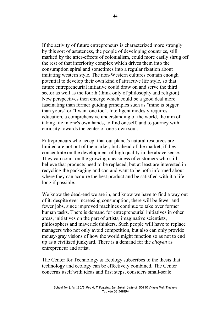If the activity of future entrepreneurs is characterized more strongly by this sort of astuteness, the people of developing countries, still marked by the after-effects of colonialism, could more easily shrug off the rest of that inferiority complex which drives them into the consumption spiral and sometimes into a regular fixation about imitating western style. The non-Western cultures contain enough potential to develop their own kind of attractive life style, so that future entrepreneurial initiative could draw on and serve the third sector as well as the fourth (think only of philosophy and religion). New perspectives then emerge which could be a good deal more fascinating than former guiding principles such as "mine is bigger than yours" or "I want one too". Intelligent modesty requires education, a comprehensive understanding of the world, the aim of taking life in one's own hands, to find oneself, and to journey with curiosity towards the center of one's own soul.

Entrepreneurs who accept that our planet's natural resources are limited are not out of the market, but ahead of the market, if they concentrate on the development of high quality in the above sense. They can count on the growing uneasiness of customers who still believe that products need to be replaced, but at least are interested in recycling the packaging and can and want to be both informed about where they can acquire the best product and be satisfied with it a life long if possible.

We know the dead-end we are in, and know we have to find a way out of it: despite ever increasing consumption, there will be fewer and fewer jobs, since improved machines continue to take over former human tasks. There is demand for entrepreneurial initiatives in other areas, initiatives on the part of artists, imaginative scientists, philosophers and maverick thinkers. Such people will have to replace managers who not only avoid competition, but also can only provide mousy-gray visions of how the world might function so as not to end up as a civilized junkyard. There is a demand for the *citoyen* as entrepreneur and artist.

The Center for Technology & Ecology subscribes to the thesis that technology and ecology can be effectively combined. The Center concerns itself with ideas and first steps, considers small-scale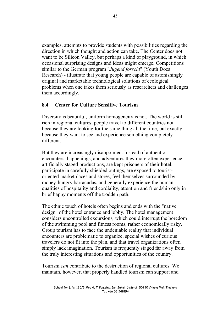examples, attempts to provide students with possibilities regarding the direction in which thought and action can take. The Center does not want to be Silicon Valley, but perhaps a kind of playground, in which occasional surprising designs and ideas might emerge. Competitions similar to the German program "*Jugend forscht*" (Youth Does Research) - illustrate that young people are capable of astonishingly original and marketable technological solutions of ecological problems when one takes them seriously as researchers and challenges them accordingly.

## **8.4 Center for Culture Sensitive Tourism**

Diversity is beautiful, uniform homogeneity is not. The world is still rich in regional cultures; people travel to different countries not because they are looking for the same thing all the time, but exactly because they want to see and experience something completely different.

But they are increasingly disappointed. Instead of authentic encounters, happenings, and adventures they more often experience artificially staged productions, are kept prisoners of their hotel, participate in carefully shielded outings, are exposed to touristoriented marketplaces and stores, feel themselves surrounded by money-hungry barracudas, and generally experience the human qualities of hospitality and cordiality, attention and friendship only in brief happy moments off the trodden path.

The ethnic touch of hotels often begins and ends with the "native design" of the hotel entrance and lobby. The hotel management considers uncontrolled excursions, which could interrupt the boredom of the swimming pool and fitness rooms, rather economically risky. Group tourism has to face the undeniable reality that individual encounters are problematic to organize, special wishes of curious travelers do not fit into the plan, and that travel organizations often simply lack imagination. Tourism is frequently staged far away from the truly interesting situations and opportunities of the country.

Tourism *can* contribute to the destruction of regional cultures. We maintain, however, that properly handled tourism can support and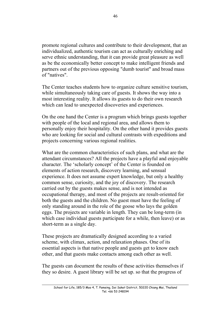promote regional cultures and contribute to their development, that an individualized, authentic tourism can act as culturally enriching and serve ethnic understanding, that it can provide great pleasure as well as be the economically better concept to make intelligent friends and partners out of the previous opposing "dumb tourist" and broad mass of "natives".

The Center teaches students how to organize culture sensitive tourism, while simultaneously taking care of guests. It shows the way into a most interesting reality. It allows its guests to do their own research which can lead to unexpected discoveries and experiences.

On the one hand the Center is a program which brings guests together with people of the local and regional area, and allows them to personally enjoy their hospitality. On the other hand it provides guests who are looking for social and cultural contrasts with expeditions and projects concerning various regional realities.

What are the common characteristics of such plans, and what are the attendant circumstances? All the projects have a playful and enjoyable character. The 'scholarly concept' of the Center is founded on elements of action research, discovery learning, and sensual experience. It does not assume expert knowledge, but only a healthy common sense, curiosity, and the joy of discovery. The research carried out by the guests makes sense, and is not intended as occupational therapy, and most of the projects are result-oriented for both the guests and the children. No guest must have the feeling of only standing around in the role of the goose who lays the golden eggs. The projects are variable in length. They can be long-term (in which case individual guests participate for a while, then leave) or as short-term as a single day.

These projects are dramatically designed according to a varied scheme, with climax, action, and relaxation phases. One of its essential aspects is that native people and guests get to know each other, and that guests make contacts among each other as well.

The guests can document the results of these activities themselves if they so desire. A guest library will be set up. so that the progress of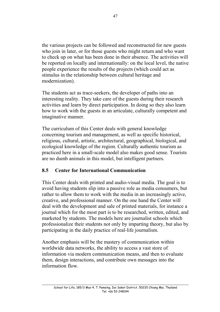the various projects can be followed and reconstructed for new guests who join in later, or for those guests who might return and who want to check up on what has been done in their absence. The activities will be reported on locally and internationally: on the local level, the native people experience the results of the projects (which could act as stimulus in the relationship between cultural heritage and modernization).

The students act as trace-seekers, the developer of paths into an interesting reality. They take care of the guests during their research activities and learn by direct participation. In doing so they also learn how to work with the guests in an articulate, culturally competent and imaginative manner.

The curriculum of this Center deals with general knowledge concerning tourism and management, as well as specific historical, religious, cultural, artistic, architectural, geographical, biological, and ecological knowledge of the region. Culturally authentic tourism as practiced here in a small-scale model also makes good sense. Tourists are no dumb animals in this model, but intelligent partners.

## **8.5 Center for International Communication**

This Center deals with printed and audio-visual media. The goal is to avoid having students slip into a passive role as media consumers, but rather to allow them to work with the media in an increasingly active, creative, and professional manner. On the one hand the Center will deal with the development and sale of printed materials, for instance a journal which for the most part is to be researched, written, edited, and marketed by students. The models here are journalist schools which professionalize their students not only by imparting theory, but also by participating in the daily practice of real-life journalism.

Another emphasis will be the mastery of communication within worldwide data networks, the ability to access a vast store of information via modern communication means, and then to evaluate them, design interactions, and contribute own messages into the information flow.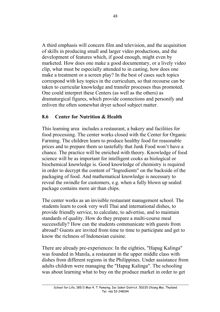A third emphasis will concern film and television, and the acquisition of skills in producing small and larger video productions, and the development of features which, if good enough, might even by marketed. How does one make a good documentary, or a lively video clip, what must be especially attended to in casting, how does one make a treatment or a screen play? In the best of cases such topics correspond with key topics in the curriculum, so that recourse can be taken to curricular knowledge and transfer processes thus promoted. One could interpret these Centers (as well as the others) as dramaturgical figures, which provide connections and personify and enliven the often somewhat dryer school subject matter.

## **8.6 Center for Nutrition & Health**

This learning area includes a restaurant, a bakery and facilities for food processing. The center works closed with the Center for Organic Farming. The children learn to produce healthy food for reasonable prices and to prepare them so tastefully that Junk Food won't have a chance. The practice will be enriched with theory. Knowledge of food science will be as important for intelligent cooks as biological or biochemical knowledge is. Good knowledge of chemistry is required in order to decrypt the content of "Ingredients" on the backside of the packaging of food. And mathematical knowledge is necessary to reveal the swindle for customers, e.g. when a fully blown up sealed package contains more air than chips.

The center works as an invisible restaurant management school. The students learn to cook very well Thai and international dishes, to provide friendly service, to calculate, to advertise, and to maintain standards of quality. How do they prepare a multi-course meal successfully? How can the students communicate with guests from abroad? Guests are invited from time to time to participate and get to know the richness of Indonesian cuisine.

There are already pre-experiences: In the eighties, "Hapag Kalinga" was founded in Manila, a restaurant in the upper middle class with dishes from different regions in the Philippines. Under assistance from adults children were managing the "Hapag Kalinga". The schooling was about learning what to buy on the produce market in order to get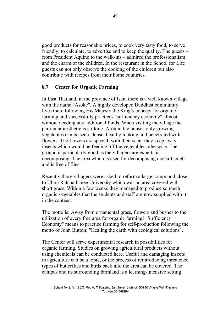good products for reasonable prices, to cook very tasty food, to serve friendly, to calculate, to advertise and to keep the quality. The guests – from President Aquino to the walk-ins – admired the professionalism and the charm of the children. In the restaurant in the School for Life guests can not only observe the cooking of the children but also contribute with recipes from their home countries.

#### **8.7 Center for Organic Farming**

In East Thailand, in the province of Isan, there is a well known village with the name "Asoke". A highly developed Buddhist community lives there following His Majesty the King's concept for organic farming and successfully practices "sufficiency economy" almost without needing any additional funds. When visiting the village the particular aesthetic is striking. Around the houses only growing vegetables can be seen, dense, healthy looking and penetrated with flowers. The flowers are special: with their scent they keep away insects which would be feeding off the vegetables otherwise. The ground is particularly good as the villagers are experts in decomposing. The area which is used for decomposing doesn't smell and is free of flies.

Recently those villagers were asked to reform a large compound close to Ubon Ratchathanee University which was an area covered with short grass. Within a few weeks they managed to produce so much organic vegetables that the students and staff are now supplied with it in the canteen.

The motto is: Away from ornamental grass, flowers and bushes to the utilization of every free area for organic farming! "Sufficiency Economy" means to practice farming for self-production following the motto of John Button: "Healing the earth with ecological solutions".

The Center will serve experimental research in possibilities for organic farming. Studies on growing agricultural products without using chemicals can be conducted here. Useful and damaging insects in agriculture can be a topic, or the process of reintroducing threatened types of butterflies and birds back into the area can be covered. The campus and its surrounding farmland is a learning-intensive setting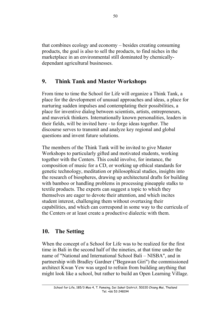that combines ecology and economy – besides creating consuming products, the goal is also to sell the products, to find niches in the marketplace in an environmental still dominated by chemicallydependant agricultural businesses.

## **9. Think Tank and Master Workshops**

From time to time the School for Life will organize a Think Tank, a place for the development of unusual approaches and ideas, a place for nurturing sudden impulses and contemplating their possibilities, a place for inventive dialog between scientists, artists, entrepreneurs, and maverick thinkers. Internationally known personalities, leaders in their fields, will be invited here - to forge ideas together. The discourse serves to transmit and analyze key regional and global questions and invent future solutions.

The members of the Think Tank will be invited to give Master Workshops to particularly gifted and motivated students, working together with the Centers. This could involve, for instance, the composition of music for a CD, or working up ethical standards for genetic technology, meditation or philosophical studies, insights into the research of biospheres, drawing up architectural drafts for building with bamboo or handling problems in processing pineapple stalks to textile products. The experts can suggest a topic to which they themselves are eager to devote their attention, and which incites student interest, challenging them without overtaxing their capabilities, and which can correspond in some way to the curricula of the Centers or at least create a productive dialectic with them.

## **10. The Setting**

When the concept of a School for Life was to be realized for the first time in Bali in the second half of the nineties, at that time under the name of "National and International School Bali – NISBA", and in partnership with Bradley Gardner ("Begawan Giri") the commissioned architect Kwan Yew was urged to refrain from building anything that might look like a school, but rather to build an Open Learning Village.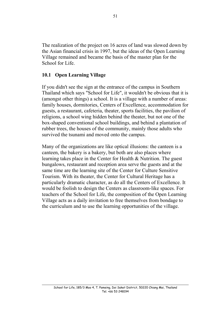The realization of the project on 16 acres of land was slowed down by the Asian financial crisis in 1997, but the ideas of the Open Learning Village remained and became the basis of the master plan for the School for Life.

#### **10.1 Open Learning Village**

If you didn't see the sign at the entrance of the campus in Southern Thailand which says "School for Life", it wouldn't be obvious that it is (amongst other things) a school. It is a village with a number of areas: family houses, dormitories, Centers of Excellence, accommodation for guests, a restaurant, cafeteria, theater, sports facilities, the pavilion of religions, a school wing hidden behind the theater, but not one of the box-shaped conventional school buildings, and behind a plantation of rubber trees, the houses of the community, mainly those adults who survived the tsunami and moved onto the campus.

Many of the organizations are like optical illusions: the canteen is a canteen, the bakery is a bakery, but both are also places where learning takes place in the Center for Health & Nutrition. The guest bungalows, restaurant and reception area serve the guests and at the same time are the learning site of the Center for Culture Sensitive Tourism. With its theater, the Center for Cultural Heritage has a particularly dramatic character, as do all the Centers of Excellence. It would be foolish to design the Centers as classroom-like spaces. For teachers of the School for Life, the composition of the Open Learning Village acts as a daily invitation to free themselves from bondage to the curriculum and to use the learning opportunities of the village.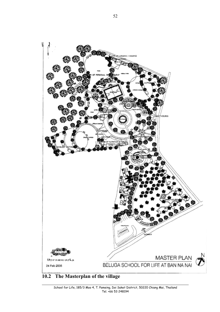

## **10.2 The Masterplan of the village**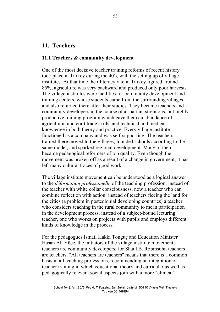## **11. Teachers**

## **11.1 Teachers & community development**

One of the most decisive teacher training reforms of recent history took place in Turkey during the 40's, with the setting up of village institutes. At that time the illiteracy rate in Turkey figured around 85%, agriculture was very backward and produced only poor harvests. The village institutes were facilities for community development and training centers, whose students came from the surrounding villages and also returned there after their studies. They became teachers and community developers in the course of a spartan, strenuous, but highly productive training program which gave them an abundance of agricultural and craft trade skills, and technical and medical knowledge in both theory and practice. Every village institute functioned as a company and was self-supporting. The teachers trained there moved to the villages, founded schools according to the same model, and sparked regional development. Many of them became pedagogical reformers of top quality. Even though the movement was broken off as a result of a change in government, it has left many cultural traces of good work.

The village institute movement can be understood as a logical answer to the *déformation professionelle* of the teaching profession; instead of the teacher with white collar consciousness, now a teacher who can combine reflection with action: instead of teachers fleeing the land for the cities (a problem in postcolonial developing countries) a teacher who considers teaching in the rural community to mean participation in the development process; instead of a subject-bound lecturing teacher, one who works on projects with pupils and employs different kinds of knowledge in the process.

For the pedagogues Ismail Hakki Tonguç and Education Minister Hasan Ali Yüce, the initiators of the village institute movement, teachers are community developers; for Shaul B. Robinsohn teachers are teachers. "All teachers are teachers" means that there is a common basis in all teaching professions, recommending an integration of teacher training in which educational theory and curricular as well as pedagogically relevant social aspects join with a more "clinical"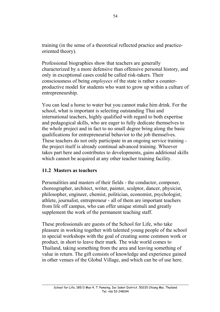training (in the sense of a theoretical reflected practice and practiceoriented theory).

Professional biographies show that teachers are generally characterized by a more defensive than offensive personal history, and only in exceptional cases could be called risk-takers. Their consciousness of being *employees* of the state is rather a counterproductive model for students who want to grow up within a culture of entrepreneurship.

You can lead a horse to water but you cannot make him drink. For the school, what is important is selecting outstanding Thai and international teachers, highly qualified with regard to both expertise and pedagogical skills, who are eager to fully dedicate themselves to the whole project and in fact to no small degree bring along the basic qualifications for entrepreneurial behavior to the job themselves. These teachers do not only participate in an ongoing service training the project itself is already continual advanced training. Whoever takes part here and contributes to developments, gains additional skills which cannot be acquired at any other teacher training facility.

## **11.2 Masters as teachers**

Personalities and masters of their fields - the conductor, composer, choreographer, architect, writer, painter, sculptor, dancer, physicist, philosopher, engineer, chemist, politician, economist, psychologist, athlete, journalist, entrepreneur - all of them are important teachers from life off campus, who can offer unique stimuli and greatly supplement the work of the permanent teaching staff.

These professionals are guests of the School for Life, who take pleasure in working together with talented young people of the school in special workshops with the goal of creating some common work or product, in short to leave their mark. The wide world comes to Thailand, taking something from the area and leaving something of value in return. The gift consists of knowledge and experience gained in other venues of the Global Village, and which can be of use here.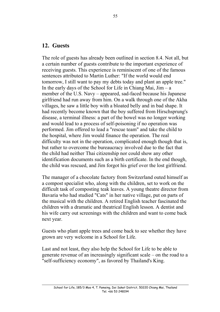## **12. Guests**

The role of guests has already been outlined in section 8.4. Not all, but a certain number of guests contribute to the important experience of receiving guests. This experience is reminiscent of one of the famous sentences attributed to Martin Luther: "If the world would end tomorrow, I still want to pay my debts today and plant an apple tree." In the early days of the School for Life in Chiang Mai,  $Jim - a$ member of the U.S. Navy – appeared, sad-faced because his Japanese girlfriend had run away from him. On a walk through one of the Akha villages, he saw a little boy with a bloated belly and in bad shape. It had recently become known that the boy suffered from Hirschsprung's disease, a terminal illness: a part of the bowel was no longer working and would lead to a process of self-poisoning if no operation was performed. Jim offered to lead a "rescue team" and take the child to the hospital, where Jim would finance the operation. The real difficulty was not in the operation, complicated enough though that is, but rather to overcome the bureaucracy involved due to the fact that the child had neither Thai citizenship nor could show any other identification documents such as a birth certificate. In the end though, the child was rescued, and Jim forgot his grief over the lost girlfriend.

The manager of a chocolate factory from Switzerland outed himself as a compost specialist who, along with the children, set to work on the difficult task of composting teak leaves. A young theatre director from Bavaria who had studied "Cats" in her native village, put on parts of the musical with the children. A retired English teacher fascinated the children with a dramatic and theatrical English lesson. A dentist and his wife carry out screenings with the children and want to come back next year.

Guests who plant apple trees and come back to see whether they have grown are very welcome in a School for Life.

Last and not least, they also help the School for Life to be able to generate revenue of an increasingly significant scale – on the road to a "self-sufficiency economy", as favored by Thailand's King.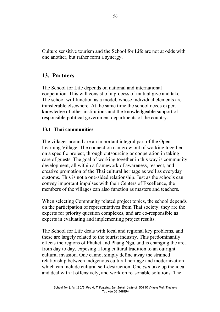Culture sensitive tourism and the School for Life are not at odds with one another, but rather form a synergy.

## **13. Partners**

The School for Life depends on national and international cooperation. This will consist of a process of mutual give and take. The school will function as a model, whose individual elements are transferable elsewhere. At the same time the school needs expert knowledge of other institutions and the knowledgeable support of responsible political government departments of the country.

## **13.1 Thai communities**

The villages around are an important integral part of the Open Learning Village. The connection can grow out of working together on a specific project, through outsourcing or cooperation in taking care of guests. The goal of working together in this way is community development, all within a framework of awareness, respect, and creative promotion of the Thai cultural heritage as well as everyday customs. This is not a one-sided relationship. Just as the schools can convey important impulses with their Centers of Excellence, the members of the villages can also function as masters and teachers.

When selecting Community related project topics, the school depends on the participation of representatives from Thai society: they are the experts for priority question complexes, and are co-responsible as experts in evaluating and implementing project results.

The School for Life deals with local and regional key problems, and these are largely related to the tourist industry. This predominantly effects the regions of Phuket and Phang Nga, and is changing the area from day to day, exposing a long cultural tradition to an outright cultural invasion. One cannot simply define away the strained relationship between indigenous cultural heritage and modernization which can include cultural self-destruction. One *can* take up the idea and deal with it offensively, and work on reasonable solutions. The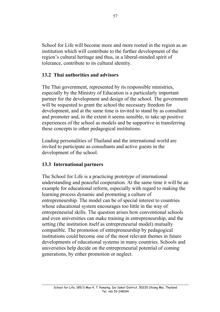School for Life will become more and more rooted in the region as an institution which will contribute to the further development of the region's cultural heritage and thus, in a liberal-minded spirit of tolerance, contribute to its cultural identity.

## **13.2 Thai authorities and advisors**

The Thai government, represented by its responsible ministries, especially by the Ministry of Education is a particularly important partner for the development and design of the school. The government will be requested to grant the school the necessary freedom for development, and at the same time is invited to stand by as consultant and promoter and, to the extent it seems sensible, to take up positive experiences of the school as models and be supportive in transferring these concepts to other pedagogical institutions.

Leading personalities of Thailand and the international world are invited to participate as consultants and active guests in the development of the school.

## **13.3 International partners**

The School for Life is a practicing prototype of international understanding and peaceful cooperation. At the same time it will be an example for educational reform, especially with regard to making the learning process dynamic and promoting a culture of entrepreneurship. The model can be of special interest to countries whose educational system encourages too little in the way of entrepreneurial skills. The question arises how conventional schools and even universities can make training in entrepreneurship, and the setting (the institution itself as entrepreneurial model) mutually compatible. The promotion of entrepreneurship by pedagogical institutions could become one of the most relevant themes in future developments of educational systems in many countries. Schools and universities help decide on the entrepreneurial potential of coming generations, by either promotion or neglect.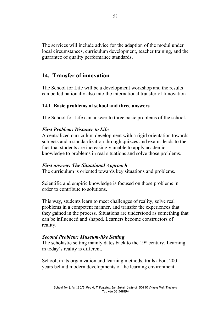The services will include advice for the adaption of the modul under local circumstances, curriculum development, teacher training, and the guarantee of quality performance standards.

## **14. Transfer of innovation**

The School for Life will be a development workshop and the results can be fed nationally also into the international transfer of Innovation

## **14.1 Basic problems of school and three answers**

The School for Life can answer to three basic problems of the school.

#### *First Problem: Distance to Life*

A centralized curriculum development with a rigid orientation towards subjects and a standardization through quizzes and exams leads to the fact that students are increasingly unable to apply academic knowledge to problems in real situations and solve those problems.

#### *First answer: The Situational Approach*

The curriculum is oriented towards key situations and problems.

Scientific and empiric knowledge is focused on those problems in order to contribute to solutions.

This way, students learn to meet challenges of reality, solve real problems in a competent manner, and transfer the experiences that they gained in the process. Situations are understood as something that can be influenced and shaped. Learners become constructors of reality.

## *Second Problem: Museum-like Setting*

The scholastic setting mainly dates back to the  $19<sup>th</sup>$  century. Learning in today's reality is different.

School, in its organization and learning methods, trails about 200 years behind modern developments of the learning environment.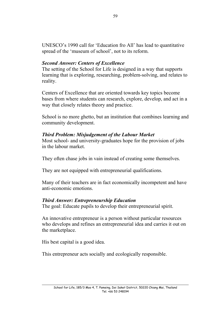UNESCO's 1990 call for 'Education fro All' has lead to quantitative spread of the 'museum of school', not to its reform.

## *Second Answer: Centers of Excellence*

The setting of the School for Life is designed in a way that supports learning that is exploring, researching, problem-solving, and relates to reality.

Centers of Excellence that are oriented towards key topics become bases from where students can research, explore, develop, and act in a way that closely relates theory and practice.

School is no more ghetto, but an institution that combines learning and community development.

## *Third Problem: Misjudgement of the Labour Market*

Most school- and university-graduates hope for the provision of jobs in the labour market.

They often chase jobs in vain instead of creating some themselves.

They are not equipped with entrepreneurial qualifications.

Many of their teachers are in fact economically incompetent and have anti-economic emotions.

## *Third Answer: Entrepreneurship Education*

The goal: Educate pupils to develop their entrepreneurial spirit.

An innovative entrepreneur is a person without particular resources who develops and refines an entrepreneurial idea and carries it out on the marketplace.

His best capital is a good idea.

This entrepreneur acts socially and ecologically responsible.